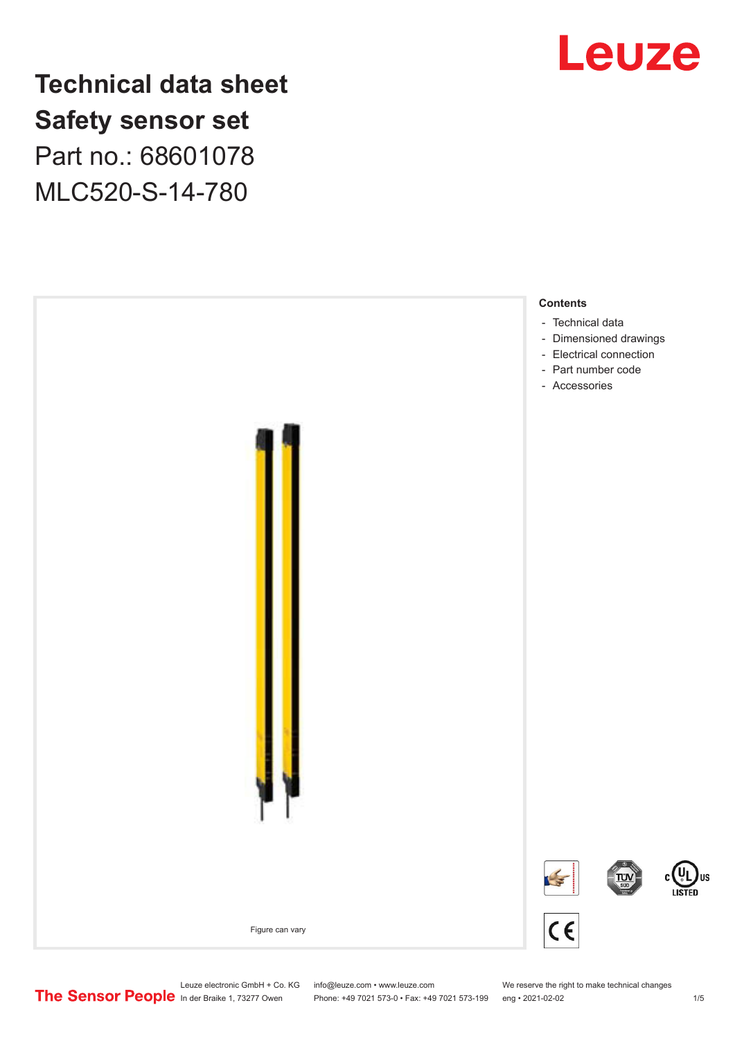

**Technical data sheet Safety sensor set** Part no.: 68601078 MLC520-S-14-780



Leuze electronic GmbH + Co. KG info@leuze.com • www.leuze.com We reserve the right to make technical changes<br> **The Sensor People** in der Braike 1, 73277 Owen Phone: +49 7021 573-0 • Fax: +49 7021 573-199 eng • 2021-02-02

Phone: +49 7021 573-0 • Fax: +49 7021 573-199 eng • 2021-02-02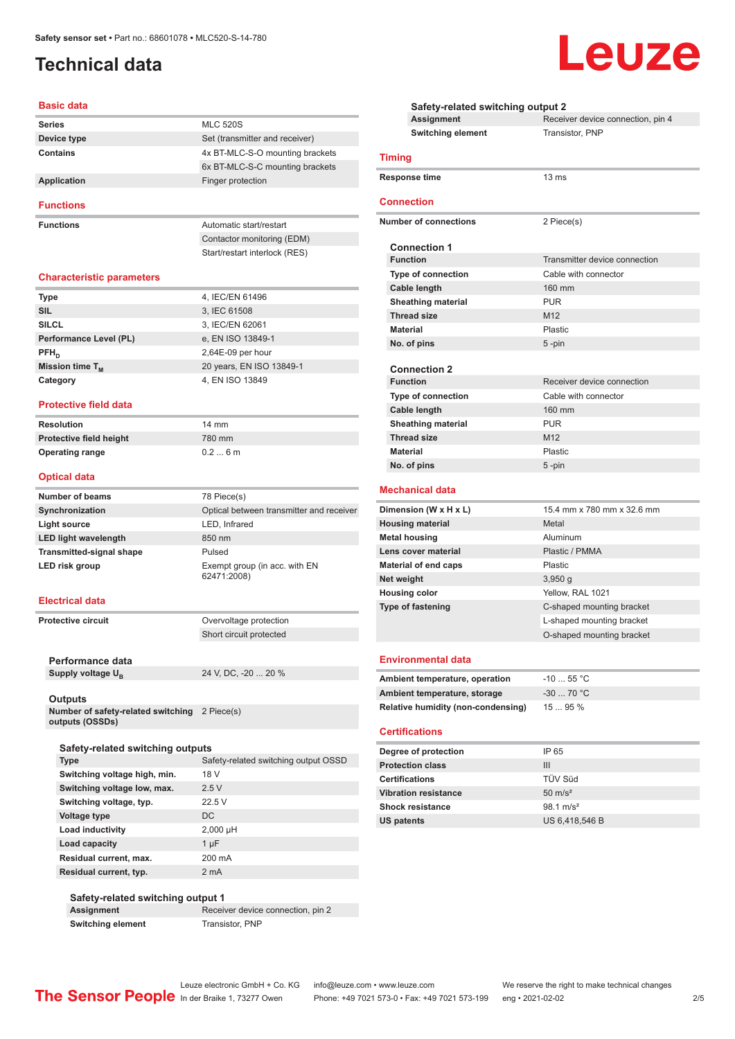## <span id="page-1-0"></span>**Technical data**

#### **Basic data**

| <b>Series</b> | <b>MLC 520S</b>                 |
|---------------|---------------------------------|
| Device type   | Set (transmitter and receiver)  |
| Contains      | 4x BT-MLC-S-O mounting brackets |
|               | 6x BT-MLC-S-C mounting brackets |
| Application   | Finger protection               |
|               |                                 |

**Functions**

**Functions Functions Automatic start/restart** Contactor monitoring (EDM) Start/restart interlock (RES)

#### **Characteristic parameters**

| <b>Type</b>            | 4, IEC/EN 61496          |
|------------------------|--------------------------|
| <b>SIL</b>             | 3, IEC 61508             |
| <b>SILCL</b>           | 3, IEC/EN 62061          |
| Performance Level (PL) | e, EN ISO 13849-1        |
| $PFH_n$                | $2,64E-09$ per hour      |
| Mission time $T_{M}$   | 20 years, EN ISO 13849-1 |
| Category               | 4, EN ISO 13849          |

#### **Protective field data**

| <b>Resolution</b>       | $14 \text{ mm}$ |
|-------------------------|-----------------|
| Protective field height | 780 mm          |
| <b>Operating range</b>  | $0.26$ m        |

#### **Optical data**

| <b>Number of beams</b>          | 78 Piece(s)                                  |
|---------------------------------|----------------------------------------------|
| Synchronization                 | Optical between transmitter and receiver     |
| Light source                    | LED, Infrared                                |
| <b>LED light wavelength</b>     | 850 nm                                       |
| <b>Transmitted-signal shape</b> | Pulsed                                       |
| LED risk group                  | Exempt group (in acc. with EN<br>62471:2008) |

#### **Electrical data**

**Protective circuit COVER COVER PROTECTION** Short circuit protected

**Performance data** Supply voltage  $U_B$ 

24 V, DC, -20 ... 20 %

#### **Outputs**

**Number of safety-related switching outputs (OSSDs)** 2 Piece(s)

| Safety-related switching outputs |                                      |
|----------------------------------|--------------------------------------|
| <b>Type</b>                      | Safety-related switching output OSSD |
| Switching voltage high, min.     | 18 V                                 |
| Switching voltage low, max.      | 2.5V                                 |
| Switching voltage, typ.          | 22.5V                                |
| Voltage type                     | DC.                                  |
| Load inductivity                 | $2,000 \mu H$                        |
| Load capacity                    | $1 \mu F$                            |
| Residual current, max.           | 200 mA                               |
| Residual current, typ.           | 2 <sub>m</sub> A                     |
|                                  |                                      |

#### **Safety-related switching output 1 Assignment** Receiver device connection, pin 2 **Switching element** Transistor, PNP

|                           | Safety-related switching output 2  |                                   |
|---------------------------|------------------------------------|-----------------------------------|
|                           | <b>Assignment</b>                  | Receiver device connection, pin 4 |
|                           | <b>Switching element</b>           | Transistor, PNP                   |
| <b>Timing</b>             |                                    |                                   |
|                           | <b>Response time</b>               | 13 <sub>ms</sub>                  |
| <b>Connection</b>         |                                    |                                   |
|                           | <b>Number of connections</b>       | 2 Piece(s)                        |
|                           | <b>Connection 1</b>                |                                   |
|                           | <b>Function</b>                    | Transmitter device connection     |
|                           | Type of connection                 | Cable with connector              |
|                           | Cable length                       | 160 mm                            |
|                           | <b>Sheathing material</b>          | <b>PUR</b>                        |
|                           | <b>Thread size</b>                 | M <sub>12</sub>                   |
| <b>Material</b>           |                                    | Plastic                           |
|                           | No. of pins                        | 5-pin                             |
|                           |                                    |                                   |
|                           | <b>Connection 2</b>                |                                   |
|                           | <b>Function</b>                    | Receiver device connection        |
|                           | Type of connection                 | Cable with connector              |
|                           | <b>Cable length</b>                | 160 mm                            |
|                           | <b>Sheathing material</b>          | <b>PUR</b>                        |
|                           | <b>Thread size</b>                 | M <sub>12</sub>                   |
| <b>Material</b>           |                                    | Plastic                           |
|                           | No. of pins                        | 5 -pin                            |
|                           | <b>Mechanical data</b>             |                                   |
|                           | Dimension (W x H x L)              | 15.4 mm x 780 mm x 32.6 mm        |
|                           | <b>Housing material</b>            | Metal                             |
|                           | <b>Metal housing</b>               | Aluminum                          |
|                           | Lens cover material                | Plastic / PMMA                    |
|                           | <b>Material of end caps</b>        | Plastic                           |
| Net weight                |                                    | 3,950g                            |
|                           | <b>Housing color</b>               | Yellow, RAL 1021                  |
|                           | Type of fastening                  | C-shaped mounting bracket         |
|                           |                                    | L-shaped mounting bracket         |
|                           |                                    | O-shaped mounting bracket         |
|                           |                                    |                                   |
| <b>Environmental data</b> |                                    |                                   |
|                           | Ambient temperature, operation     | $-10$ 55 °C                       |
|                           | Ambient temperature, storage       | -30  70 °C                        |
|                           | Relative humidity (non-condensing) | 15  95 %                          |
|                           | <b>Certifications</b>              |                                   |

| Degree of protection        | IP 65                |
|-----------------------------|----------------------|
| <b>Protection class</b>     | Ш                    |
| <b>Certifications</b>       | TÜV Süd              |
| <b>Vibration resistance</b> | $50 \text{ m/s}^2$   |
| <b>Shock resistance</b>     | $98.1 \text{ m/s}^2$ |
| US patents                  | US 6,418,546 B       |

 $\overline{a}$ 

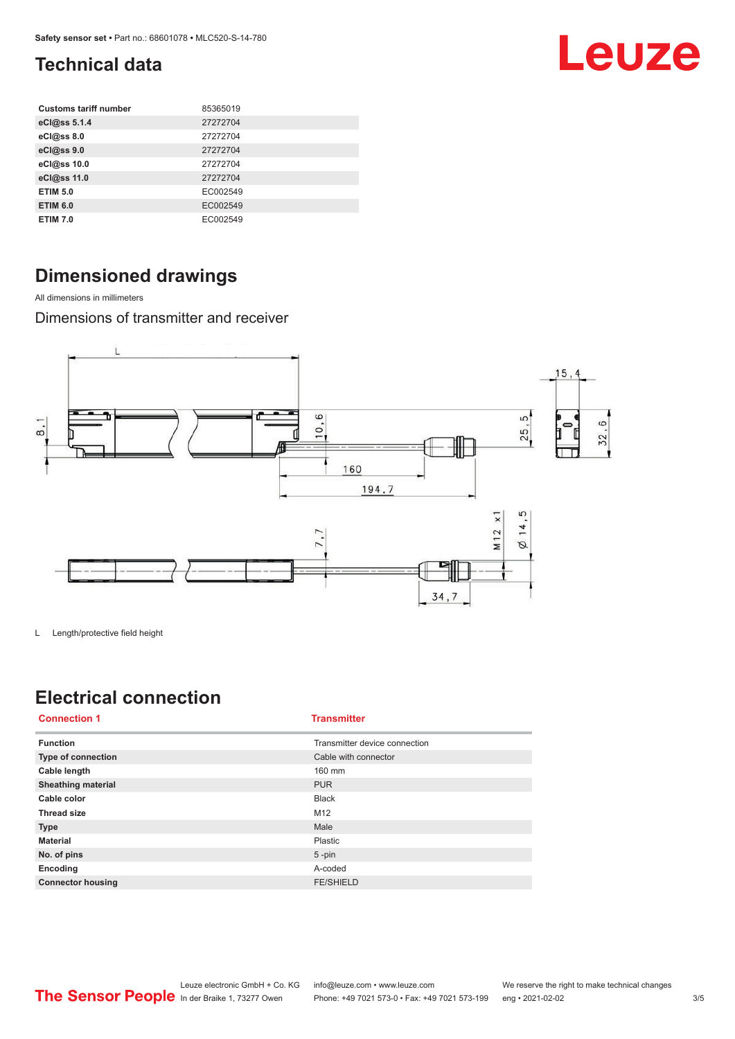## <span id="page-2-0"></span>**Technical data**

| <b>Customs tariff number</b> | 85365019 |
|------------------------------|----------|
| eCl@ss 5.1.4                 | 27272704 |
| eCl@ss 8.0                   | 27272704 |
| eCl@ss 9.0                   | 27272704 |
| eCl@ss 10.0                  | 27272704 |
| eCl@ss 11.0                  | 27272704 |
| <b>ETIM 5.0</b>              | EC002549 |
| <b>ETIM 6.0</b>              | EC002549 |
| <b>ETIM 7.0</b>              | EC002549 |

## **Dimensioned drawings**

All dimensions in millimeters

Dimensions of transmitter and receiver



L Length/protective field height

## **Electrical connection**

| <b>Connection 1</b>       | <b>Transmitter</b>            |
|---------------------------|-------------------------------|
| <b>Function</b>           | Transmitter device connection |
| Type of connection        | Cable with connector          |
| Cable length              | 160 mm                        |
| <b>Sheathing material</b> | <b>PUR</b>                    |
| Cable color               | <b>Black</b>                  |
| <b>Thread size</b>        | M12                           |
| <b>Type</b>               | Male                          |
| <b>Material</b>           | Plastic                       |
| No. of pins               | $5 - pin$                     |
| Encoding                  | A-coded                       |
| <b>Connector housing</b>  | <b>FE/SHIELD</b>              |

Leuze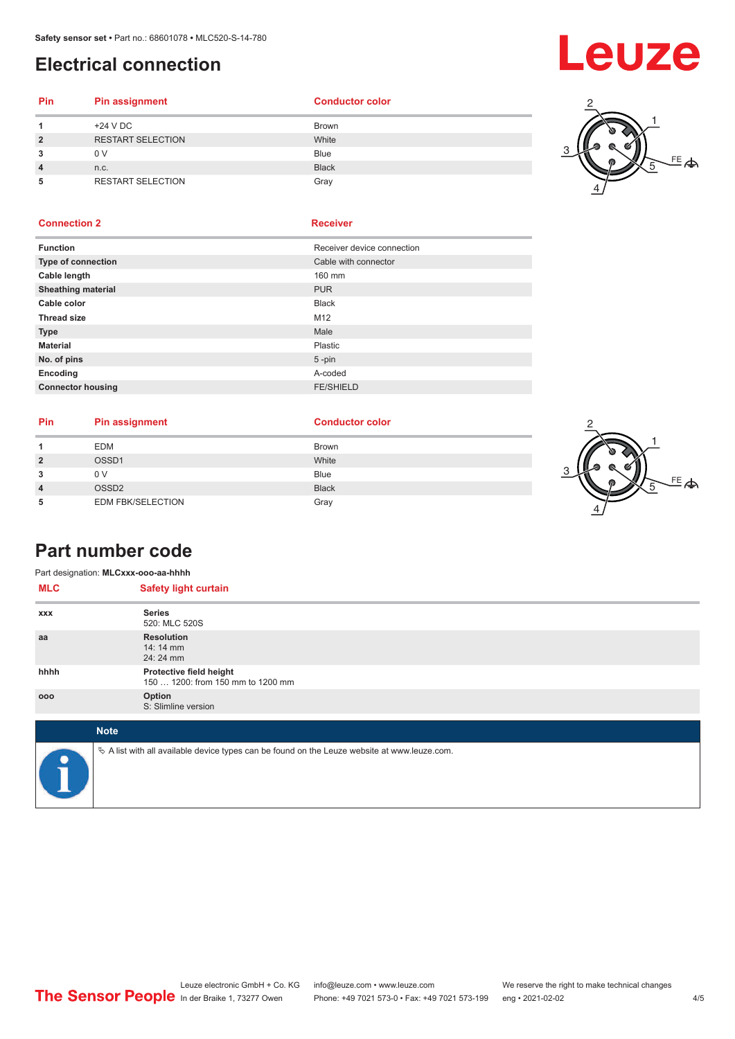## <span id="page-3-0"></span>**Electrical connection**

# Leuze

### **Pin Pin assignment Conductor Conductor Color 1** +24 V DC Brown **2** RESTART SELECTION White **3** 0 V Blue **4** n.c. Black

**5** RESTART SELECTION Gray



### **Connection 2 Receiver**

| <b>Function</b>           | Receiver device connection |
|---------------------------|----------------------------|
| Type of connection        | Cable with connector       |
| Cable length              | 160 mm                     |
| <b>Sheathing material</b> | <b>PUR</b>                 |
| Cable color               | <b>Black</b>               |
| <b>Thread size</b>        | M12                        |
| <b>Type</b>               | Male                       |
| <b>Material</b>           | Plastic                    |
| No. of pins               | $5$ -pin                   |
| Encoding                  | A-coded                    |
| <b>Connector housing</b>  | <b>FE/SHIELD</b>           |
|                           |                            |

| <b>Pin</b> | Pin assignment           | <b>Conductor color</b> |
|------------|--------------------------|------------------------|
|            | <b>EDM</b>               | <b>Brown</b>           |
|            | OSSD1                    | White                  |
|            | 0 V                      | <b>Blue</b>            |
|            | OSSD <sub>2</sub>        | <b>Black</b>           |
|            | <b>EDM FBK/SELECTION</b> | Gray                   |



## **Part number code**

| Part designation: MLCxxx-ooo-aa-hhhh |                                                                                                 |
|--------------------------------------|-------------------------------------------------------------------------------------------------|
| <b>MLC</b>                           | <b>Safety light curtain</b>                                                                     |
| <b>XXX</b>                           | <b>Series</b><br>520: MLC 520S                                                                  |
| aa                                   | <b>Resolution</b><br>14:14 mm<br>24: 24 mm                                                      |
| hhhh                                 | Protective field height<br>150  1200: from 150 mm to 1200 mm                                    |
| 000                                  | Option<br>S: Slimline version                                                                   |
|                                      | <b>Note</b>                                                                                     |
|                                      | $\&$ A list with all available device types can be found on the Leuze website at www.leuze.com. |